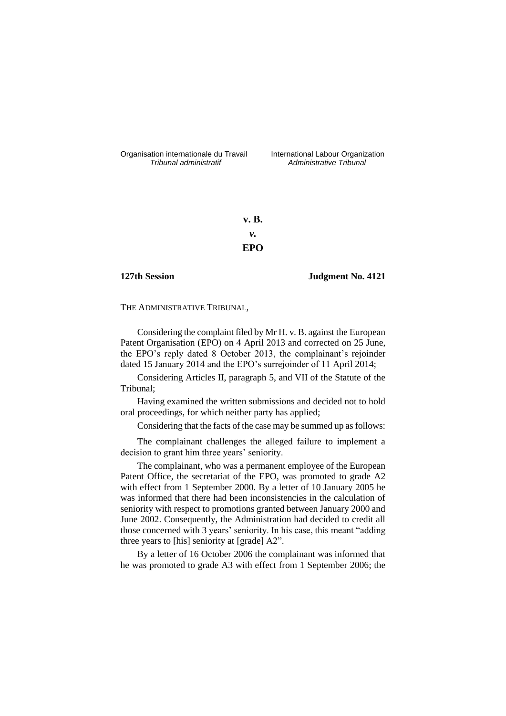Organisation internationale du Travail International Labour Organization<br>*Tribunal administratif Administrative Tribunal* 

*Tribunal administratif Administrative Tribunal*

**v. B.** *v.* **EPO**

**127th Session Judgment No. 4121**

THE ADMINISTRATIVE TRIBUNAL,

Considering the complaint filed by Mr H. v. B. against the European Patent Organisation (EPO) on 4 April 2013 and corrected on 25 June, the EPO's reply dated 8 October 2013, the complainant's rejoinder dated 15 January 2014 and the EPO's surrejoinder of 11 April 2014;

Considering Articles II, paragraph 5, and VII of the Statute of the Tribunal;

Having examined the written submissions and decided not to hold oral proceedings, for which neither party has applied;

Considering that the facts of the case may be summed up as follows:

The complainant challenges the alleged failure to implement a decision to grant him three years' seniority.

The complainant, who was a permanent employee of the European Patent Office, the secretariat of the EPO, was promoted to grade A2 with effect from 1 September 2000. By a letter of 10 January 2005 he was informed that there had been inconsistencies in the calculation of seniority with respect to promotions granted between January 2000 and June 2002. Consequently, the Administration had decided to credit all those concerned with 3 years' seniority. In his case, this meant "adding three years to [his] seniority at [grade] A2".

By a letter of 16 October 2006 the complainant was informed that he was promoted to grade A3 with effect from 1 September 2006; the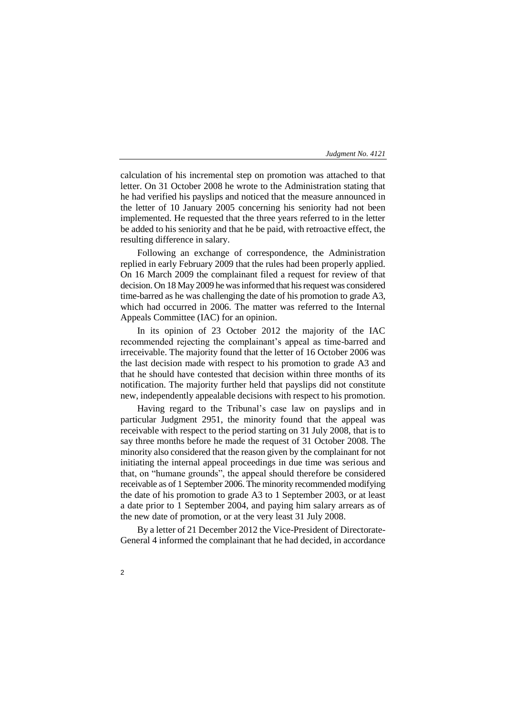### *Judgment No. 4121*

calculation of his incremental step on promotion was attached to that letter. On 31 October 2008 he wrote to the Administration stating that he had verified his payslips and noticed that the measure announced in the letter of 10 January 2005 concerning his seniority had not been implemented. He requested that the three years referred to in the letter be added to his seniority and that he be paid, with retroactive effect, the resulting difference in salary.

Following an exchange of correspondence, the Administration replied in early February 2009 that the rules had been properly applied. On 16 March 2009 the complainant filed a request for review of that decision. On 18 May 2009 he was informed that his request was considered time-barred as he was challenging the date of his promotion to grade A3, which had occurred in 2006. The matter was referred to the Internal Appeals Committee (IAC) for an opinion.

In its opinion of 23 October 2012 the majority of the IAC recommended rejecting the complainant's appeal as time-barred and irreceivable. The majority found that the letter of 16 October 2006 was the last decision made with respect to his promotion to grade A3 and that he should have contested that decision within three months of its notification. The majority further held that payslips did not constitute new, independently appealable decisions with respect to his promotion.

Having regard to the Tribunal's case law on payslips and in particular Judgment 2951, the minority found that the appeal was receivable with respect to the period starting on 31 July 2008, that is to say three months before he made the request of 31 October 2008. The minority also considered that the reason given by the complainant for not initiating the internal appeal proceedings in due time was serious and that, on "humane grounds", the appeal should therefore be considered receivable as of 1 September 2006. The minority recommended modifying the date of his promotion to grade A3 to 1 September 2003, or at least a date prior to 1 September 2004, and paying him salary arrears as of the new date of promotion, or at the very least 31 July 2008.

By a letter of 21 December 2012 the Vice-President of Directorate-General 4 informed the complainant that he had decided, in accordance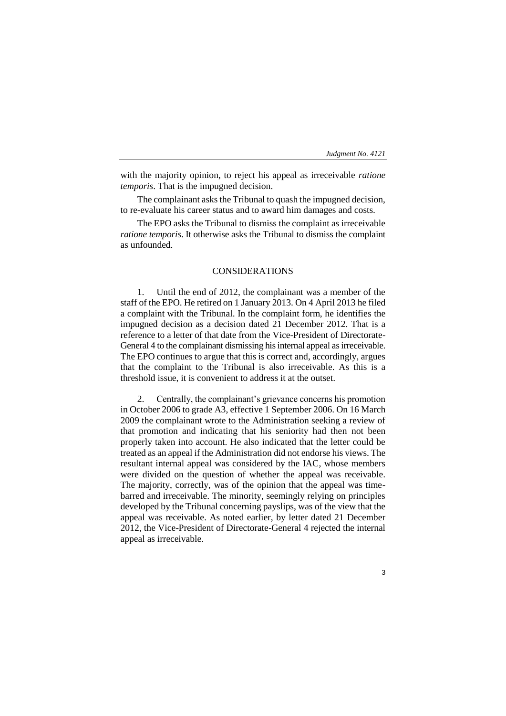## *Judgment No. 4121*

with the majority opinion, to reject his appeal as irreceivable *ratione temporis*. That is the impugned decision.

The complainant asks the Tribunal to quash the impugned decision, to re-evaluate his career status and to award him damages and costs.

The EPO asks the Tribunal to dismiss the complaint as irreceivable *ratione temporis*. It otherwise asks the Tribunal to dismiss the complaint as unfounded.

# CONSIDERATIONS

1. Until the end of 2012, the complainant was a member of the staff of the EPO. He retired on 1 January 2013. On 4 April 2013 he filed a complaint with the Tribunal. In the complaint form, he identifies the impugned decision as a decision dated 21 December 2012. That is a reference to a letter of that date from the Vice-President of Directorate-General 4 to the complainant dismissing his internal appeal as irreceivable. The EPO continues to argue that this is correct and, accordingly, argues that the complaint to the Tribunal is also irreceivable. As this is a threshold issue, it is convenient to address it at the outset.

2. Centrally, the complainant's grievance concerns his promotion in October 2006 to grade A3, effective 1 September 2006. On 16 March 2009 the complainant wrote to the Administration seeking a review of that promotion and indicating that his seniority had then not been properly taken into account. He also indicated that the letter could be treated as an appeal if the Administration did not endorse his views. The resultant internal appeal was considered by the IAC, whose members were divided on the question of whether the appeal was receivable. The majority, correctly, was of the opinion that the appeal was timebarred and irreceivable. The minority, seemingly relying on principles developed by the Tribunal concerning payslips, was of the view that the appeal was receivable. As noted earlier, by letter dated 21 December 2012, the Vice-President of Directorate-General 4 rejected the internal appeal as irreceivable.

3